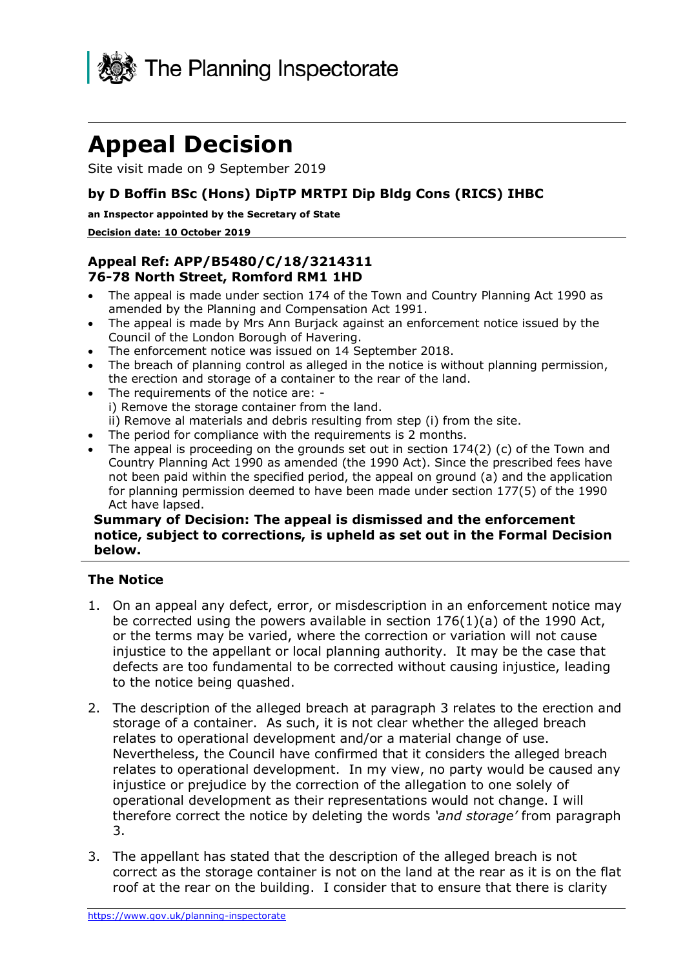

# **Appeal Decision**

Site visit made on 9 September 2019

## **by D Boffin BSc (Hons) DipTP MRTPI Dip Bldg Cons (RICS) IHBC**

#### **an Inspector appointed by the Secretary of State**

#### **Decision date: 10 October 2019**

## **Appeal Ref: APP/B5480/C/18/3214311 76-78 North Street, Romford RM1 1HD**

- • The appeal is made under section 174 of the Town and Country Planning Act 1990 as amended by the Planning and Compensation Act 1991.
- • The appeal is made by Mrs Ann Burjack against an enforcement notice issued by the Council of the London Borough of Havering.
- The enforcement notice was issued on 14 September 2018.
- • The breach of planning control as alleged in the notice is without planning permission, the erection and storage of a container to the rear of the land.
- • The requirements of the notice are: i) Remove the storage container from the land. ii) Remove al materials and debris resulting from step (i) from the site.
- The period for compliance with the requirements is 2 months.
- The appeal is proceeding on the grounds set out in section 174(2) (c) of the Town and Country Planning Act 1990 as amended (the 1990 Act). Since the prescribed fees have not been paid within the specified period, the appeal on ground (a) and the application for planning permission deemed to have been made under section 177(5) of the 1990 Act have lapsed.

#### **Summary of Decision: The appeal is dismissed and the enforcement notice, subject to corrections, is upheld as set out in the Formal Decision below.**

### **The Notice**

- 1. On an appeal any defect, error, or misdescription in an enforcement notice may be corrected using the powers available in section 176(1)(a) of the 1990 Act, or the terms may be varied, where the correction or variation will not cause injustice to the appellant or local planning authority. It may be the case that defects are too fundamental to be corrected without causing injustice, leading to the notice being quashed.
- 2. The description of the alleged breach at paragraph 3 relates to the erection and storage of a container. As such, it is not clear whether the alleged breach relates to operational development and/or a material change of use. Nevertheless, the Council have confirmed that it considers the alleged breach relates to operational development. In my view, no party would be caused any injustice or prejudice by the correction of the allegation to one solely of operational development as their representations would not change. I will therefore correct the notice by deleting the words *'and storage'* from paragraph 3.
- 3. The appellant has stated that the description of the alleged breach is not correct as the storage container is not on the land at the rear as it is on the flat roof at the rear on the building. I consider that to ensure that there is clarity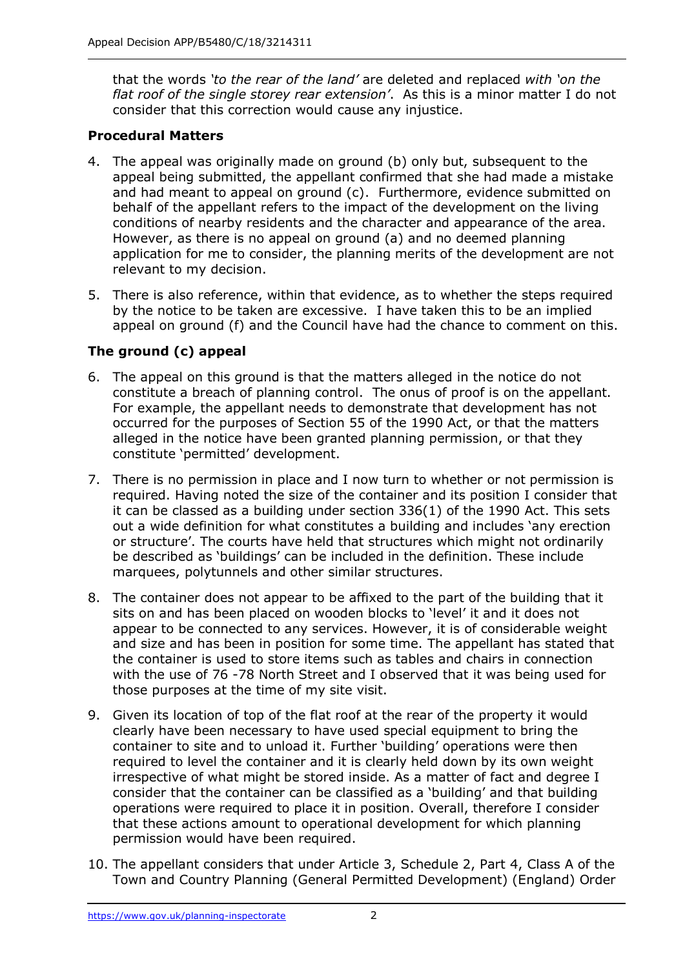that the words *'to the rear of the land'* are deleted and replaced *with 'on the flat roof of the single storey rear extension'*. As this is a minor matter I do not consider that this correction would cause any injustice.

## **Procedural Matters**

- 4. The appeal was originally made on ground (b) only but, subsequent to the appeal being submitted, the appellant confirmed that she had made a mistake and had meant to appeal on ground (c). Furthermore, evidence submitted on behalf of the appellant refers to the impact of the development on the living conditions of nearby residents and the character and appearance of the area. However, as there is no appeal on ground (a) and no deemed planning application for me to consider, the planning merits of the development are not relevant to my decision.
- 5. There is also reference, within that evidence, as to whether the steps required by the notice to be taken are excessive. I have taken this to be an implied appeal on ground (f) and the Council have had the chance to comment on this.

# **The ground (c) appeal**

- 6. The appeal on this ground is that the matters alleged in the notice do not constitute a breach of planning control. The onus of proof is on the appellant. For example, the appellant needs to demonstrate that development has not occurred for the purposes of Section 55 of the 1990 Act, or that the matters alleged in the notice have been granted planning permission, or that they constitute 'permitted' development.
- 7. There is no permission in place and I now turn to whether or not permission is required. Having noted the size of the container and its position I consider that it can be classed as a building under section 336(1) of the 1990 Act. This sets out a wide definition for what constitutes a building and includes 'any erection or structure'. The courts have held that structures which might not ordinarily be described as 'buildings' can be included in the definition. These include marquees, polytunnels and other similar structures.
- 8. The container does not appear to be affixed to the part of the building that it appear to be connected to any services. However, it is of considerable weight and size and has been in position for some time. The appellant has stated that the container is used to store items such as tables and chairs in connection with the use of 76 -78 North Street and I observed that it was being used for those purposes at the time of my site visit. sits on and has been placed on wooden blocks to 'level' it and it does not
- 9. Given its location of top of the flat roof at the rear of the property it would clearly have been necessary to have used special equipment to bring the container to site and to unload it. Further 'building' operations were then required to level the container and it is clearly held down by its own weight irrespective of what might be stored inside. As a matter of fact and degree I consider that the container can be classified as a 'building' and that building operations were required to place it in position. Overall, therefore I consider that these actions amount to operational development for which planning permission would have been required.
- 10. The appellant considers that under Article 3, Schedule 2, Part 4, Class A of the Town and Country Planning (General Permitted Development) (England) Order